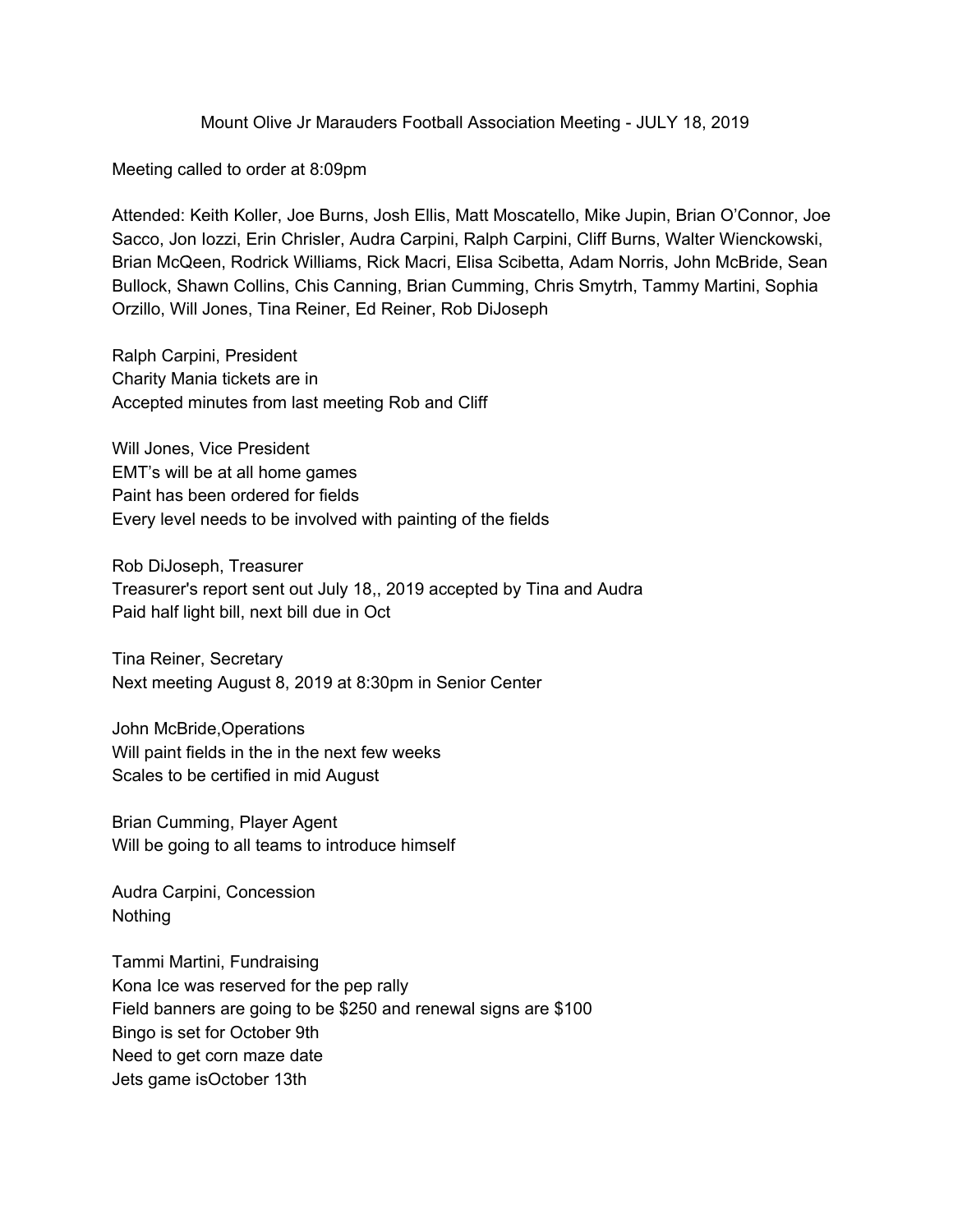Mount Olive Jr Marauders Football Association Meeting - JULY 18, 2019

Meeting called to order at 8:09pm

Attended: Keith Koller, Joe Burns, Josh Ellis, Matt Moscatello, Mike Jupin, Brian O'Connor, Joe Sacco, Jon Iozzi, Erin Chrisler, Audra Carpini, Ralph Carpini, Cliff Burns, Walter Wienckowski, Brian McQeen, Rodrick Williams, Rick Macri, Elisa Scibetta, Adam Norris, John McBride, Sean Bullock, Shawn Collins, Chis Canning, Brian Cumming, Chris Smytrh, Tammy Martini, Sophia Orzillo, Will Jones, Tina Reiner, Ed Reiner, Rob DiJoseph

Ralph Carpini, President Charity Mania tickets are in Accepted minutes from last meeting Rob and Cliff

Will Jones, Vice President EMT's will be at all home games Paint has been ordered for fields Every level needs to be involved with painting of the fields

Rob DiJoseph, Treasurer Treasurer's report sent out July 18,, 2019 accepted by Tina and Audra Paid half light bill, next bill due in Oct

Tina Reiner, Secretary Next meeting August 8, 2019 at 8:30pm in Senior Center

John McBride,Operations Will paint fields in the in the next few weeks Scales to be certified in mid August

Brian Cumming, Player Agent Will be going to all teams to introduce himself

Audra Carpini, Concession Nothing

Tammi Martini, Fundraising Kona Ice was reserved for the pep rally Field banners are going to be \$250 and renewal signs are \$100 Bingo is set for October 9th Need to get corn maze date Jets game isOctober 13th